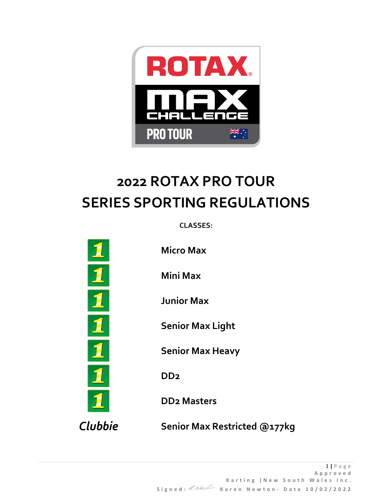

# **2022 ROTAX PRO TOUR SERIES SPORTING REGULATIONS**

**CLASSES:**

 $\overline{\mathbf{J}}$ 

**Micro Max**

**Mini Max**

**Junior Max**

**Senior Max Light**

**Senior Max Heavy**

**DD2**

**DD2 Masters**

*Clubbie* **Senior Max Restricted @177kg**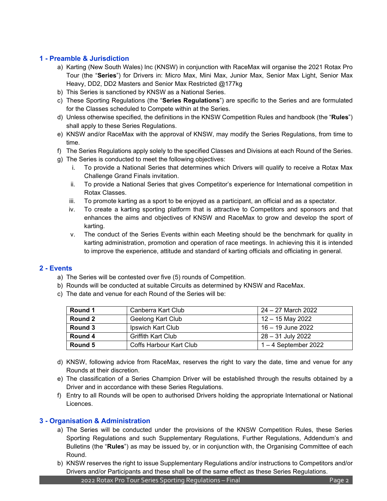# **1 - Preamble & Jurisdiction**

- a) Karting (New South Wales) Inc (KNSW) in conjunction with RaceMax will organise the 2021 Rotax Pro Tour (the "**Series**") for Drivers in: Micro Max, Mini Max, Junior Max, Senior Max Light, Senior Max Heavy, DD2, DD2 Masters and Senior Max Restricted @177kg
- b) This Series is sanctioned by KNSW as a National Series.
- c) These Sporting Regulations (the "**Series Regulations**") are specific to the Series and are formulated for the Classes scheduled to Compete within at the Series.
- d) Unless otherwise specified, the definitions in the KNSW Competition Rules and handbook (the "**Rules**") shall apply to these Series Regulations.
- e) KNSW and/or RaceMax with the approval of KNSW, may modify the Series Regulations, from time to time.
- f) The Series Regulations apply solely to the specified Classes and Divisions at each Round of the Series.
- g) The Series is conducted to meet the following objectives:
	- i. To provide a National Series that determines which Drivers will qualify to receive a Rotax Max Challenge Grand Finals invitation.
	- ii. To provide a National Series that gives Competitor's experience for International competition in Rotax Classes.
	- iii. To promote karting as a sport to be enjoyed as a participant, an official and as a spectator.
	- iv. To create a karting sporting platform that is attractive to Competitors and sponsors and that enhances the aims and objectives of KNSW and RaceMax to grow and develop the sport of karting.
	- v. The conduct of the Series Events within each Meeting should be the benchmark for quality in karting administration, promotion and operation of race meetings. In achieving this it is intended to improve the experience, attitude and standard of karting officials and officiating in general.

#### **2 - Events**

- a) The Series will be contested over five (5) rounds of Competition.
- b) Rounds will be conducted at suitable Circuits as determined by KNSW and RaceMax.
- c) The date and venue for each Round of the Series will be:

| Round 1 | Canberra Kart Club        | 24 – 27 March 2022     |
|---------|---------------------------|------------------------|
| Round 2 | Geelong Kart Club         | 12 – 15 May 2022       |
| Round 3 | Ipswich Kart Club         | 16 – 19 June 2022      |
| Round 4 | <b>Griffith Kart Club</b> | 28 – 31 July 2022      |
| Round 5 | Coffs Harbour Kart Club   | $1 - 4$ September 2022 |

- d) KNSW, following advice from RaceMax, reserves the right to vary the date, time and venue for any Rounds at their discretion.
- e) The classification of a Series Champion Driver will be established through the results obtained by a Driver and in accordance with these Series Regulations.
- f) Entry to all Rounds will be open to authorised Drivers holding the appropriate International or National Licences.

#### **3 - Organisation & Administration**

- a) The Series will be conducted under the provisions of the KNSW Competition Rules, these Series Sporting Regulations and such Supplementary Regulations, Further Regulations, Addendum's and Bulletins (the "**Rules**") as may be issued by, or in conjunction with, the Organising Committee of each Round.
- b) KNSW reserves the right to issue Supplementary Regulations and/or instructions to Competitors and/or Drivers and/or Participants and these shall be of the same effect as these Series Regulations.

2022 Rotax Pro Tour Series Sporting Regulations – Final Page 2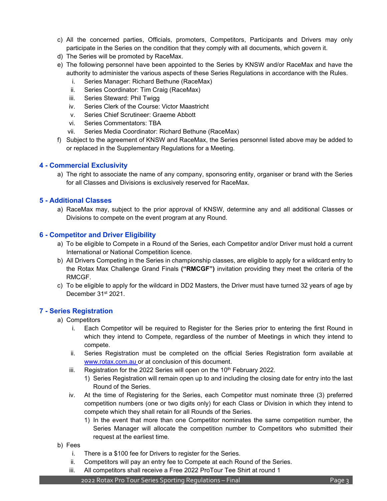- c) All the concerned parties, Officials, promoters, Competitors, Participants and Drivers may only participate in the Series on the condition that they comply with all documents, which govern it.
- d) The Series will be promoted by RaceMax.
- e) The following personnel have been appointed to the Series by KNSW and/or RaceMax and have the authority to administer the various aspects of these Series Regulations in accordance with the Rules.
	- i. Series Manager: Richard Bethune (RaceMax)
	- ii. Series Coordinator: Tim Craig (RaceMax)
	- iii. Series Steward: Phil Twigg
	- iv. Series Clerk of the Course: Victor Maastricht
	- v. Series Chief Scrutineer: Graeme Abbott
	- vi. Series Commentators: TBA
	- vii. Series Media Coordinator: Richard Bethune (RaceMax)
- f) Subject to the agreement of KNSW and RaceMax, the Series personnel listed above may be added to or replaced in the Supplementary Regulations for a Meeting.

# **4 - Commercial Exclusivity**

a) The right to associate the name of any company, sponsoring entity, organiser or brand with the Series for all Classes and Divisions is exclusively reserved for RaceMax.

# **5 - Additional Classes**

a) RaceMax may, subject to the prior approval of KNSW, determine any and all additional Classes or Divisions to compete on the event program at any Round.

# **6 - Competitor and Driver Eligibility**

- a) To be eligible to Compete in a Round of the Series, each Competitor and/or Driver must hold a current International or National Competition licence.
- b) All Drivers Competing in the Series in championship classes, are eligible to apply for a wildcard entry to the Rotax Max Challenge Grand Finals **("RMCGF")** invitation providing they meet the criteria of the RMCGF.
- c) To be eligible to apply for the wildcard in DD2 Masters, the Driver must have turned 32 years of age by December 31<sup>st</sup> 2021.

#### **7 - Series Registration**

- a) Competitors
	- i. Each Competitor will be required to Register for the Series prior to entering the first Round in which they intend to Compete, regardless of the number of Meetings in which they intend to compete.
	- ii. Series Registration must be completed on the official Series Registration form available at [www.rotax.com.au](http://www.rotax.com.au/) or at conclusion of this document.
	- iii. Registration for the 2022 Series will open on the  $10<sup>th</sup>$  February 2022.
		- 1) Series Registration will remain open up to and including the closing date for entry into the last Round of the Series.
	- iv. At the time of Registering for the Series, each Competitor must nominate three (3) preferred competition numbers (one or two digits only) for each Class or Division in which they intend to compete which they shall retain for all Rounds of the Series.
		- 1) In the event that more than one Competitor nominates the same competition number, the Series Manager will allocate the competition number to Competitors who submitted their request at the earliest time.
- b) Fees
	- i. There is a \$100 fee for Drivers to register for the Series.
	- ii. Competitors will pay an entry fee to Compete at each Round of the Series.
	- iii. All competitors shall receive a Free 2022 ProTour Tee Shirt at round 1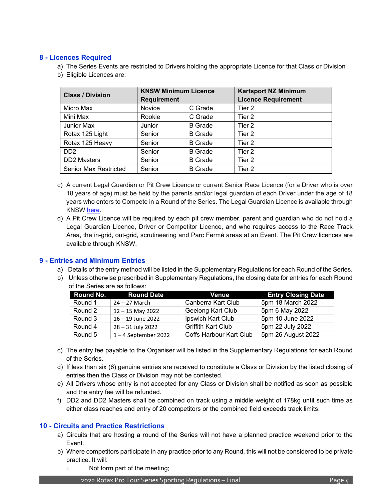# **8 - Licences Required**

- a) The Series Events are restricted to Drivers holding the appropriate Licence for that Class or Division
- b) Eligible Licences are:

| <b>Class / Division</b>      | <b>KNSW Minimum Licence</b><br><b>Requirement</b> |                | <b>Kartsport NZ Minimum</b><br><b>Licence Requirement</b> |
|------------------------------|---------------------------------------------------|----------------|-----------------------------------------------------------|
| Micro Max                    | <b>Novice</b>                                     | C Grade        | Tier 2                                                    |
| Mini Max                     | Rookie                                            | C Grade        | Tier 2                                                    |
| Junior Max                   | Junior                                            | <b>B</b> Grade | Tier 2                                                    |
| Rotax 125 Light              | Senior                                            | <b>B</b> Grade | Tier 2                                                    |
| Rotax 125 Heavy              | Senior                                            | <b>B</b> Grade | Tier 2                                                    |
| D <sub>D</sub> <sub>2</sub>  | Senior                                            | <b>B</b> Grade | Tier 2                                                    |
| <b>DD2</b> Masters           | Senior                                            | <b>B</b> Grade | Tier 2                                                    |
| <b>Senior Max Restricted</b> | Senior                                            | <b>B</b> Grade | Tier 2                                                    |

- c) A current Legal Guardian or Pit Crew Licence or current Senior Race Licence (for a Driver who is over 18 years of age) must be held by the parents and/or legal guardian of each Driver under the age of 18 years who enters to Compete in a Round of the Series. The Legal Guardian Licence is available through KNSW [here.](https://portal.kartingnsw.com.au/)
- d) A Pit Crew Licence will be required by each pit crew member, parent and guardian who do not hold a Legal Guardian Licence, Driver or Competitor Licence, and who requires access to the Race Track Area, the in-grid, out-grid, scrutineering and Parc Fermé areas at an Event. The Pit Crew licences are available through KNSW.

#### **9 - Entries and Minimum Entries**

- a) Details of the entry method will be listed in the Supplementary Regulations for each Round of the Series.
- b) Unless otherwise prescribed in Supplementary Regulations, the closing date for entries for each Round of the Series are as follows:

| <b>Round No.</b> | <b>Round Date</b>      | Venue                     | <b>Entry Closing Date</b> |
|------------------|------------------------|---------------------------|---------------------------|
| Round 1          | $24 - 27$ March        | Canberra Kart Club        | 5pm 18 March 2022         |
| Round 2          | $12 - 15$ May 2022     | Geelong Kart Club         | 5pm 6 May 2022            |
| Round 3          | $16 - 19$ June 2022    | Ipswich Kart Club         | 5pm 10 June 2022          |
| Round 4          | 28 - 31 July 2022      | <b>Griffith Kart Club</b> | 5pm 22 July 2022          |
| Round 5          | $1 - 4$ September 2022 | Coffs Harbour Kart Club   | 5pm 26 August 2022        |

- c) The entry fee payable to the Organiser will be listed in the Supplementary Regulations for each Round of the Series.
- d) If less than six (6) genuine entries are received to constitute a Class or Division by the listed closing of entries then the Class or Division may not be contested.
- e) All Drivers whose entry is not accepted for any Class or Division shall be notified as soon as possible and the entry fee will be refunded.
- f) DD2 and DD2 Masters shall be combined on track using a middle weight of 178kg until such time as either class reaches and entry of 20 competitors or the combined field exceeds track limits.

#### **10 - Circuits and Practice Restrictions**

- a) Circuits that are hosting a round of the Series will not have a planned practice weekend prior to the Event.
- b) Where competitors participate in any practice prior to any Round, this will not be considered to be private practice. It will:
	- i. Not form part of the meeting;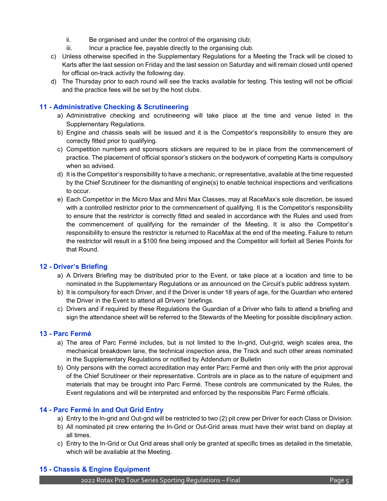- ii. Be organised and under the control of the organising club;
- iii. Incur a practice fee, payable directly to the organising club.
- c) Unless otherwise specified in the Supplementary Regulations for a Meeting the Track will be closed to Karts after the last session on Friday and the last session on Saturday and will remain closed until opened for official on-track activity the following day.
- d) The Thursday prior to each round will see the tracks available for testing. This testing will not be official and the practice fees will be set by the host clubs.

# **11 - Administrative Checking & Scrutineering**

- a) Administrative checking and scrutineering will take place at the time and venue listed in the Supplementary Regulations.
- b) Engine and chassis seals will be issued and it is the Competitor's responsibility to ensure they are correctly fitted prior to qualifying.
- c) Competition numbers and sponsors stickers are required to be in place from the commencement of practice. The placement of official sponsor's stickers on the bodywork of competing Karts is compulsory when so advised.
- d) It is the Competitor's responsibility to have a mechanic, or representative, available at the time requested by the Chief Scrutineer for the dismantling of engine(s) to enable technical inspections and verifications to occur.
- e) Each Competitor in the Micro Max and Mini Max Classes, may at RaceMax's sole discretion, be issued with a controlled restrictor prior to the commencement of qualifying. It is the Competitor's responsibility to ensure that the restrictor is correctly fitted and sealed in accordance with the Rules and used from the commencement of qualifying for the remainder of the Meeting. It is also the Competitor's responsibility to ensure the restrictor is returned to RaceMax at the end of the meeting. Failure to return the restrictor will result in a \$100 fine being imposed and the Competitor will forfeit all Series Points for that Round.

#### **12 - Driver's Briefing**

- a) A Drivers Briefing may be distributed prior to the Event, or take place at a location and time to be nominated in the Supplementary Regulations or as announced on the Circuit's public address system.
- b) It is compulsory for each Driver, and if the Driver is under 18 years of age, for the Guardian who entered the Driver in the Event to attend all Drivers' briefings.
- c) Drivers and if required by these Regulations the Guardian of a Driver who fails to attend a briefing and sign the attendance sheet will be referred to the Stewards of the Meeting for possible disciplinary action.

#### **13 - Parc Fermé**

- a) The area of Parc Fermé includes, but is not limited to the In-grid, Out-grid, weigh scales area, the mechanical breakdown lane, the technical inspection area, the Track and such other areas nominated in the Supplementary Regulations or notified by Addendum or Bulletin
- b) Only persons with the correct accreditation may enter Parc Fermé and then only with the prior approval of the Chief Scrutineer or their representative. Controls are in place as to the nature of equipment and materials that may be brought into Parc Fermé. These controls are communicated by the Rules, the Event regulations and will be interpreted and enforced by the responsible Parc Fermé officials.

#### **14 - Parc Fermé In and Out Grid Entry**

- a) Entry to the In-grid and Out-grid will be restricted to two (2) pit crew per Driver for each Class or Division.
- b) All nominated pit crew entering the In-Grid or Out-Grid areas must have their wrist band on display at all times.
- c) Entry to the In-Grid or Out Grid areas shall only be granted at specific times as detailed in the timetable, which will be available at the Meeting.

#### **15 - Chassis & Engine Equipment**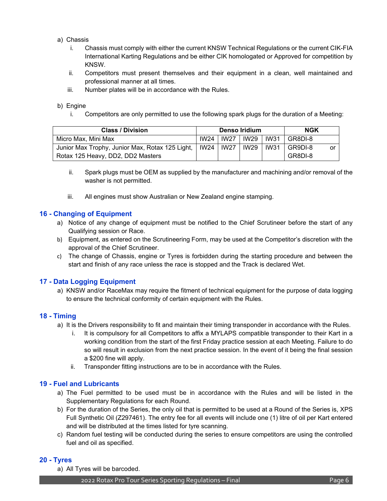- a) Chassis
	- i. Chassis must comply with either the current KNSW Technical Regulations or the current CIK-FIA International Karting Regulations and be either CIK homologated or Approved for competition by KNSW.
	- ii. Competitors must present themselves and their equipment in a clean, well maintained and professional manner at all times.
	- iii. Number plates will be in accordance with the Rules.

#### b) Engine

i. Competitors are only permitted to use the following spark plugs for the duration of a Meeting:

| <b>Class / Division</b>                         |  | Denso Iridium | <b>NGK</b>    |      |         |    |
|-------------------------------------------------|--|---------------|---------------|------|---------|----|
| Micro Max, Mini Max                             |  | IW24   IW27   | IW29 I        | IW31 | GR8DI-8 |    |
| Junior Max Trophy, Junior Max, Rotax 125 Light, |  | IW24   IW27   | <b>IW29</b> 1 | IW31 | GR9DI-8 | or |
| Rotax 125 Heavy, DD2, DD2 Masters               |  |               |               |      | GR8DI-8 |    |

- ii. Spark plugs must be OEM as supplied by the manufacturer and machining and/or removal of the washer is not permitted.
- iii. All engines must show Australian or New Zealand engine stamping.

# **16 - Changing of Equipment**

- a) Notice of any change of equipment must be notified to the Chief Scrutineer before the start of any Qualifying session or Race.
- b) Equipment, as entered on the Scrutineering Form, may be used at the Competitor's discretion with the approval of the Chief Scrutineer.
- c) The change of Chassis, engine or Tyres is forbidden during the starting procedure and between the start and finish of any race unless the race is stopped and the Track is declared Wet.

# **17 - Data Logging Equipment**

a) KNSW and/or RaceMax may require the fitment of technical equipment for the purpose of data logging to ensure the technical conformity of certain equipment with the Rules.

#### **18 - Timing**

- a) It is the Drivers responsibility to fit and maintain their timing transponder in accordance with the Rules.
	- i. It is compulsory for all Competitors to affix a MYLAPS compatible transponder to their Kart in a working condition from the start of the first Friday practice session at each Meeting. Failure to do so will result in exclusion from the next practice session. In the event of it being the final session a \$200 fine will apply.
	- ii. Transponder fitting instructions are to be in accordance with the Rules.

#### **19 - Fuel and Lubricants**

- a) The Fuel permitted to be used must be in accordance with the Rules and will be listed in the Supplementary Regulations for each Round.
- b) For the duration of the Series, the only oil that is permitted to be used at a Round of the Series is, XPS Full Synthetic Oil (Z297461). The entry fee for all events will include one (1) litre of oil per Kart entered and will be distributed at the times listed for tyre scanning.
- c) Random fuel testing will be conducted during the series to ensure competitors are using the controlled fuel and oil as specified.

#### **20 - Tyres**

a) All Tyres will be barcoded.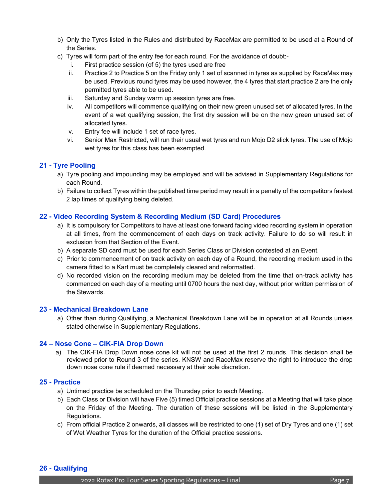- b) Only the Tyres listed in the Rules and distributed by RaceMax are permitted to be used at a Round of the Series.
- c) Tyres will form part of the entry fee for each round. For the avoidance of doubt:
	- i. First practice session (of 5) the tyres used are free
	- ii. Practice 2 to Practice 5 on the Friday only 1 set of scanned in tyres as supplied by RaceMax may be used. Previous round tyres may be used however, the 4 tyres that start practice 2 are the only permitted tyres able to be used.
	- iii. Saturday and Sunday warm up session tyres are free.
	- iv. All competitors will commence qualifying on their new green unused set of allocated tyres. In the event of a wet qualifying session, the first dry session will be on the new green unused set of allocated tyres.
	- v. Entry fee will include 1 set of race tyres.
	- vi. Senior Max Restricted, will run their usual wet tyres and run Mojo D2 slick tyres. The use of Mojo wet tyres for this class has been exempted.

#### **21 - Tyre Pooling**

- a) Tyre pooling and impounding may be employed and will be advised in Supplementary Regulations for each Round.
- b) Failure to collect Tyres within the published time period may result in a penalty of the competitors fastest 2 lap times of qualifying being deleted.

#### **22 - Video Recording System & Recording Medium (SD Card) Procedures**

- a) It is compulsory for Competitors to have at least one forward facing video recording system in operation at all times, from the commencement of each days on track activity. Failure to do so will result in exclusion from that Section of the Event.
- b) A separate SD card must be used for each Series Class or Division contested at an Event.
- c) Prior to commencement of on track activity on each day of a Round, the recording medium used in the camera fitted to a Kart must be completely cleared and reformatted.
- d) No recorded vision on the recording medium may be deleted from the time that on-track activity has commenced on each day of a meeting until 0700 hours the next day, without prior written permission of the Stewards.

#### **23 - Mechanical Breakdown Lane**

a) Other than during Qualifying, a Mechanical Breakdown Lane will be in operation at all Rounds unless stated otherwise in Supplementary Regulations.

#### **24 – Nose Cone – CIK-FIA Drop Down**

a) The CIK-FIA Drop Down nose cone kit will not be used at the first 2 rounds. This decision shall be reviewed prior to Round 3 of the series. KNSW and RaceMax reserve the right to introduce the drop down nose cone rule if deemed necessary at their sole discretion.

#### **25 - Practice**

- a) Untimed practice be scheduled on the Thursday prior to each Meeting.
- b) Each Class or Division will have Five (5) timed Official practice sessions at a Meeting that will take place on the Friday of the Meeting. The duration of these sessions will be listed in the Supplementary Regulations.
- c) From official Practice 2 onwards, all classes will be restricted to one (1) set of Dry Tyres and one (1) set of Wet Weather Tyres for the duration of the Official practice sessions.

#### **26 - Qualifying**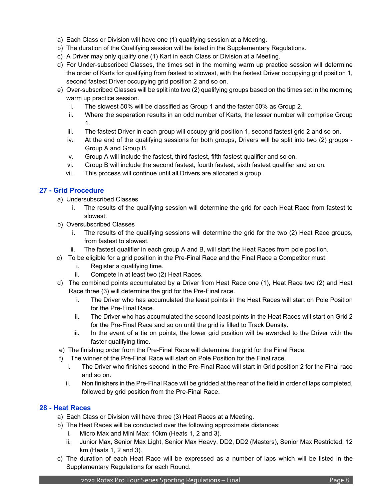- a) Each Class or Division will have one (1) qualifying session at a Meeting.
- b) The duration of the Qualifying session will be listed in the Supplementary Regulations.
- c) A Driver may only qualify one (1) Kart in each Class or Division at a Meeting.
- d) For Under-subscribed Classes, the times set in the morning warm up practice session will determine the order of Karts for qualifying from fastest to slowest, with the fastest Driver occupying grid position 1, second fastest Driver occupying grid position 2 and so on.
- e) Over-subscribed Classes will be split into two (2) qualifying groups based on the times set in the morning warm up practice session.
	- i. The slowest 50% will be classified as Group 1 and the faster 50% as Group 2.
	- ii. Where the separation results in an odd number of Karts, the lesser number will comprise Group 1.
	- iii. The fastest Driver in each group will occupy grid position 1, second fastest grid 2 and so on.
	- iv. At the end of the qualifying sessions for both groups, Drivers will be split into two (2) groups Group A and Group B.
	- v. Group A will include the fastest, third fastest, fifth fastest qualifier and so on.
	- vi. Group B will include the second fastest, fourth fastest, sixth fastest qualifier and so on.
	- vii. This process will continue until all Drivers are allocated a group.

# **27 - Grid Procedure**

- a) Undersubscribed Classes
	- i. The results of the qualifying session will determine the grid for each Heat Race from fastest to slowest.
- b) Oversubscribed Classes
	- i. The results of the qualifying sessions will determine the grid for the two (2) Heat Race groups, from fastest to slowest.
	- ii. The fastest qualifier in each group A and B, will start the Heat Races from pole position.
- c) To be eligible for a grid position in the Pre-Final Race and the Final Race a Competitor must:
	- i. Register a qualifying time.
	- ii. Compete in at least two (2) Heat Races.
- d) The combined points accumulated by a Driver from Heat Race one (1), Heat Race two (2) and Heat Race three (3) will determine the grid for the Pre-Final race.
	- i. The Driver who has accumulated the least points in the Heat Races will start on Pole Position for the Pre-Final Race.
	- ii. The Driver who has accumulated the second least points in the Heat Races will start on Grid 2 for the Pre-Final Race and so on until the grid is filled to Track Density.
	- iii. In the event of a tie on points, the lower grid position will be awarded to the Driver with the faster qualifying time.
- e) The finishing order from the Pre-Final Race will determine the grid for the Final Race.
- f) The winner of the Pre-Final Race will start on Pole Position for the Final race.
	- i. The Driver who finishes second in the Pre-Final Race will start in Grid position 2 for the Final race and so on.
	- ii. Non finishers in the Pre-Final Race will be gridded at the rear of the field in order of laps completed, followed by grid position from the Pre-Final Race.

# **28 - Heat Races**

- a) Each Class or Division will have three (3) Heat Races at a Meeting.
- b) The Heat Races will be conducted over the following approximate distances:
	- i. Micro Max and Mini Max: 10km (Heats 1, 2 and 3).
	- ii. Junior Max, Senior Max Light, Senior Max Heavy, DD2, DD2 (Masters), Senior Max Restricted: 12 km (Heats 1, 2 and 3).
- c) The duration of each Heat Race will be expressed as a number of laps which will be listed in the Supplementary Regulations for each Round.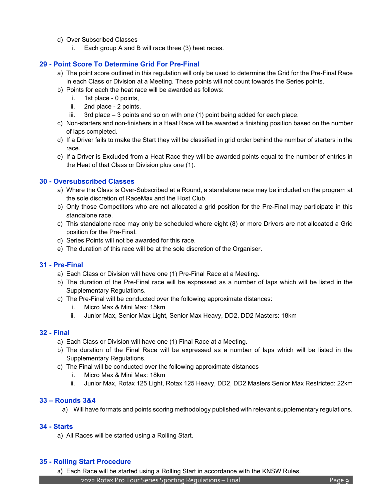- d) Over Subscribed Classes
	- i. Each group A and B will race three (3) heat races.

# **29 - Point Score To Determine Grid For Pre-Final**

- a) The point score outlined in this regulation will only be used to determine the Grid for the Pre-Final Race in each Class or Division at a Meeting. These points will not count towards the Series points.
- b) Points for each the heat race will be awarded as follows:
	- i. 1st place 0 points,
	- ii. 2nd place 2 points,
	- iii. 3rd place 3 points and so on with one (1) point being added for each place.
- c) Non-starters and non-finishers in a Heat Race will be awarded a finishing position based on the number of laps completed.
- d) If a Driver fails to make the Start they will be classified in grid order behind the number of starters in the race.
- e) If a Driver is Excluded from a Heat Race they will be awarded points equal to the number of entries in the Heat of that Class or Division plus one (1).

#### **30 - Oversubscribed Classes**

- a) Where the Class is Over-Subscribed at a Round, a standalone race may be included on the program at the sole discretion of RaceMax and the Host Club.
- b) Only those Competitors who are not allocated a grid position for the Pre-Final may participate in this standalone race.
- c) This standalone race may only be scheduled where eight (8) or more Drivers are not allocated a Grid position for the Pre-Final.
- d) Series Points will not be awarded for this race.
- e) The duration of this race will be at the sole discretion of the Organiser.

#### **31 - Pre-Final**

- a) Each Class or Division will have one (1) Pre-Final Race at a Meeting.
- b) The duration of the Pre-Final race will be expressed as a number of laps which will be listed in the Supplementary Regulations.
- c) The Pre-Final will be conducted over the following approximate distances:
	- i. Micro Max & Mini Max: 15km
	- ii. Junior Max, Senior Max Light, Senior Max Heavy, DD2, DD2 Masters: 18km

#### **32 - Final**

- a) Each Class or Division will have one (1) Final Race at a Meeting.
- b) The duration of the Final Race will be expressed as a number of laps which will be listed in the Supplementary Regulations.
- c) The Final will be conducted over the following approximate distances
	- i. Micro Max & Mini Max: 18km
	- ii. Junior Max, Rotax 125 Light, Rotax 125 Heavy, DD2, DD2 Masters Senior Max Restricted: 22km

#### **33 – Rounds 3&4**

a) Will have formats and points scoring methodology published with relevant supplementary regulations.

#### **34 - Starts**

a) All Races will be started using a Rolling Start.

# **35 - Rolling Start Procedure**

a) Each Race will be started using a Rolling Start in accordance with the KNSW Rules.

2022 Rotax Pro Tour Series Sporting Regulations – Final Page 9 and Page 9 and Page 9 and Page 9 and Page 9 and Page 9 and Page 9 and Page 9 and Page 9 and Page 9 and Page 9 and Page 9 and Page 9 and Page 9 and Page 9 and P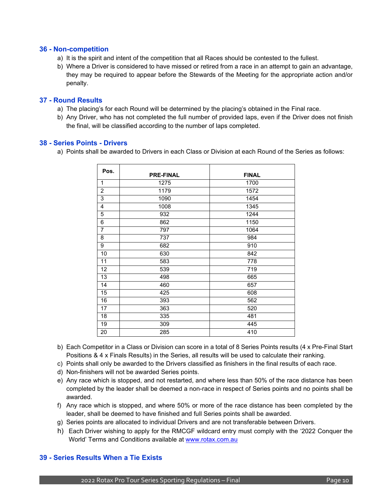#### **36 - Non-competition**

- a) It is the spirit and intent of the competition that all Races should be contested to the fullest.
- b) Where a Driver is considered to have missed or retired from a race in an attempt to gain an advantage, they may be required to appear before the Stewards of the Meeting for the appropriate action and/or penalty.

#### **37 - Round Results**

- a) The placing's for each Round will be determined by the placing's obtained in the Final race.
- b) Any Driver, who has not completed the full number of provided laps, even if the Driver does not finish the final, will be classified according to the number of laps completed.

#### **38 - Series Points - Drivers**

a) Points shall be awarded to Drivers in each Class or Division at each Round of the Series as follows:

| Pos.           | <b>PRE-FINAL</b> | <b>FINAL</b> |
|----------------|------------------|--------------|
| 1              | 1275             | 1700         |
| $\overline{2}$ | 1179             | 1572         |
| 3              | 1090             | 1454         |
| 4              | 1008             | 1345         |
| 5              | 932              | 1244         |
| 6              | 862              | 1150         |
| $\overline{7}$ | 797              | 1064         |
| 8              | 737              | 984          |
| 9              | 682              | 910          |
| 10             | 630              | 842          |
| 11             | 583              | 778          |
| 12             | 539              | 719          |
| 13             | 498              | 665          |
| 14             | 460              | 657          |
| 15             | 425              | 608          |
| 16             | 393              | 562          |
| 17             | 363              | 520          |
| 18             | 335              | 481          |
| 19             | 309              | 445          |
| 20             | 285              | 410          |

- b) Each Competitor in a Class or Division can score in a total of 8 Series Points results (4 x Pre-Final Start Positions & 4 x Finals Results) in the Series, all results will be used to calculate their ranking.
- c) Points shall only be awarded to the Drivers classified as finishers in the final results of each race.
- d) Non-finishers will not be awarded Series points.
- e) Any race which is stopped, and not restarted, and where less than 50% of the race distance has been completed by the leader shall be deemed a non-race in respect of Series points and no points shall be awarded.
- f) Any race which is stopped, and where 50% or more of the race distance has been completed by the leader, shall be deemed to have finished and full Series points shall be awarded.
- g) Series points are allocated to individual Drivers and are not transferable between Drivers.
- h) Each Driver wishing to apply for the RMCGF wildcard entry must comply with the '2022 Conquer the World' Terms and Conditions available at [www.rotax.com.au](http://www.rotax.com.au/)

# **39 - Series Results When a Tie Exists**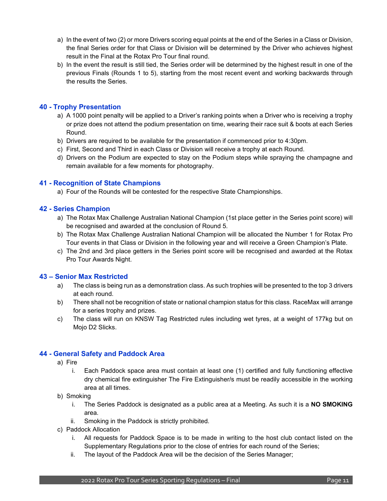- a) In the event of two (2) or more Drivers scoring equal points at the end of the Series in a Class or Division, the final Series order for that Class or Division will be determined by the Driver who achieves highest result in the Final at the Rotax Pro Tour final round.
- b) In the event the result is still tied, the Series order will be determined by the highest result in one of the previous Finals (Rounds 1 to 5), starting from the most recent event and working backwards through the results the Series.

# **40 - Trophy Presentation**

- a) A 1000 point penalty will be applied to a Driver's ranking points when a Driver who is receiving a trophy or prize does not attend the podium presentation on time, wearing their race suit & boots at each Series Round.
- b) Drivers are required to be available for the presentation if commenced prior to 4:30pm.
- c) First, Second and Third in each Class or Division will receive a trophy at each Round.
- d) Drivers on the Podium are expected to stay on the Podium steps while spraying the champagne and remain available for a few moments for photography.

# **41 - Recognition of State Champions**

a) Four of the Rounds will be contested for the respective State Championships.

# **42 - Series Champion**

- a) The Rotax Max Challenge Australian National Champion (1st place getter in the Series point score) will be recognised and awarded at the conclusion of Round 5.
- b) The Rotax Max Challenge Australian National Champion will be allocated the Number 1 for Rotax Pro Tour events in that Class or Division in the following year and will receive a Green Champion's Plate.
- c) The 2nd and 3rd place getters in the Series point score will be recognised and awarded at the Rotax Pro Tour Awards Night.

# **43 – Senior Max Restricted**

- a) The class is being run as a demonstration class. As such trophies will be presented to the top 3 drivers at each round.
- b) There shall not be recognition of state or national champion status for this class. RaceMax will arrange for a series trophy and prizes.
- c) The class will run on KNSW Tag Restricted rules including wet tyres, at a weight of 177kg but on Mojo D2 Slicks.

# **44 - General Safety and Paddock Area**

- a) Fire
	- i. Each Paddock space area must contain at least one (1) certified and fully functioning effective dry chemical fire extinguisher The Fire Extinguisher/s must be readily accessible in the working area at all times.
- b) Smoking
	- i. The Series Paddock is designated as a public area at a Meeting. As such it is a **NO SMOKING** area.
	- ii. Smoking in the Paddock is strictly prohibited.
- c) Paddock Allocation
	- i. All requests for Paddock Space is to be made in writing to [the](mailto:development@karting.net.au) host club contact listed on the Supplementary Regulations prior to the close of entries for each round of the Series;
	- ii. The layout of the Paddock Area will be the decision of the Series Manager;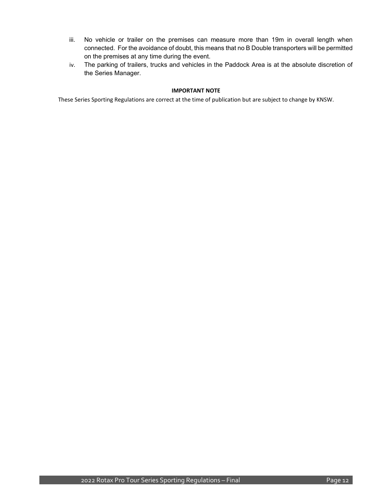- iii. No vehicle or trailer on the premises can measure more than 19m in overall length when connected. For the avoidance of doubt, this means that no B Double transporters will be permitted on the premises at any time during the event.
- iv. The parking of trailers, trucks and vehicles in the Paddock Area is at the absolute discretion of the Series Manager.

#### **IMPORTANT NOTE**

These Series Sporting Regulations are correct at the time of publication but are subject to change by KNSW.